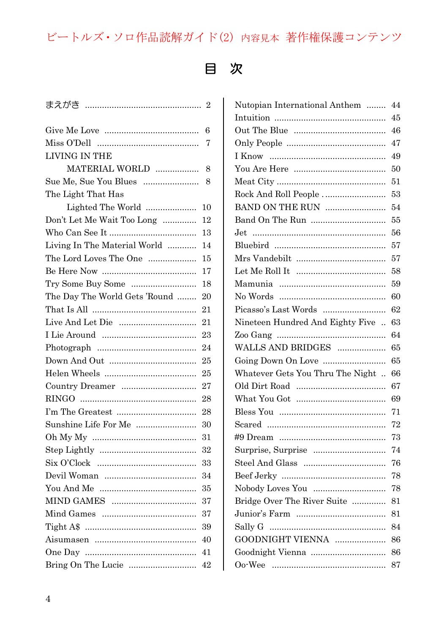## ビートルズ・ソロ作品読解ガイド(2) 内容見本 著作権保護コンテンツ

## 目 次

|                               | 6  |
|-------------------------------|----|
|                               | 7  |
| LIVING IN THE                 |    |
| MATERIAL WORLD                | 8  |
| Sue Me, Sue You Blues         | 8  |
| The Light That Has            |    |
| Lighted The World             | 10 |
| Don't Let Me Wait Too Long    | 12 |
|                               | 13 |
| Living In The Material World  | 14 |
| The Lord Loves The One        | 15 |
|                               | 17 |
| Try Some Buy Some             | 18 |
| The Day The World Gets 'Round | 20 |
|                               | 21 |
|                               | 21 |
|                               | 23 |
|                               | 24 |
|                               | 25 |
|                               | 25 |
| Country Dreamer               | 27 |
|                               | 28 |
|                               | 28 |
| Sunshine Life For Me          | 30 |
|                               | 31 |
|                               | 32 |
|                               | 33 |
|                               | 34 |
|                               | 35 |
|                               | 37 |
|                               | 37 |
|                               | 39 |
|                               | 40 |
|                               | 41 |
| Bring On The Lucie            | 42 |

| Nutopian International Anthem    | 44 |
|----------------------------------|----|
|                                  | 45 |
|                                  | 46 |
|                                  | 47 |
|                                  | 49 |
|                                  | 50 |
|                                  | 51 |
| Rock And Roll People             | 53 |
| BAND ON THE RUN                  | 54 |
|                                  | 55 |
| Jet.                             | 56 |
|                                  | 57 |
|                                  | 57 |
|                                  | 58 |
|                                  | 59 |
|                                  | 60 |
| Picasso's Last Words             | 62 |
| Nineteen Hundred And Eighty Five | 63 |
|                                  | 64 |
| WALLS AND BRIDGES                | 65 |
| Going Down On Love               | 65 |
| Whatever Gets You Thru The Night | 66 |
|                                  | 67 |
|                                  | 69 |
|                                  | 71 |
|                                  | 72 |
|                                  | 73 |
| Surprise, Surprise               | 74 |
|                                  | 76 |
|                                  | 78 |
| Nobody Loves You                 | 78 |
| Bridge Over The River Suite      | 81 |
|                                  | 81 |
|                                  | 84 |
| GOODNIGHT VIENNA                 | 86 |
| Goodnight Vienna                 | 86 |
|                                  | 87 |
|                                  |    |